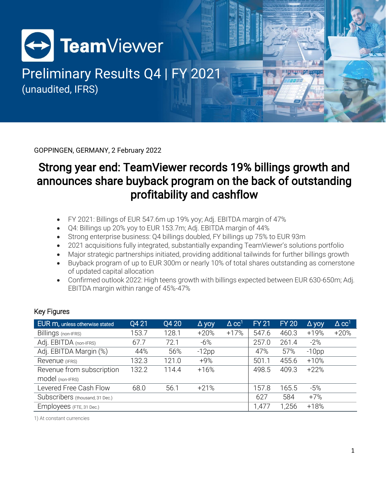

# Preliminary Results Q4 | FY 2021 (unaudited, IFRS)

GOPPINGEN, GERMANY, 2 February 2022

### Strong year end: TeamViewer records 19% billings growth and announces share buyback program on the back of outstanding profitability and cashflow

- FY 2021: Billings of EUR 547.6m up 19% yoy; Adj. EBITDA margin of 47%
- Q4: Billings up 20% yoy to EUR 153.7m; Adj. EBITDA margin of 44%
- Strong enterprise business: Q4 billings doubled, FY billings up 75% to EUR 93m
- 2021 acquisitions fully integrated, substantially expanding TeamViewer's solutions portfolio
- Major strategic partnerships initiated, providing additional tailwinds for further billings growth
- Buyback program of up to EUR 300m or nearly 10% of total shares outstanding as cornerstone of updated capital allocation
- Confirmed outlook 2022: High teens growth with billings expected between EUR 630-650m; Adj. EBITDA margin within range of 45%-47%

| EUR m, unless otherwise stated  | Q4 21 | Q4 20 | $\Delta$ yoy | $\Delta$ CC <sup>1</sup> | <b>FY 21</b> | <b>FY 20</b> | $\Delta$ yoy | $\Delta$ CC <sup>1</sup> |
|---------------------------------|-------|-------|--------------|--------------------------|--------------|--------------|--------------|--------------------------|
| Billings (non-IFRS)             | 153.7 | 128.1 | $+20%$       | $+17%$                   | 547.6        | 460.3        | +19%         | $+20%$                   |
| Adj. EBITDA (non-IFRS)          | 67.7  | 72.1  | $-6%$        |                          | 257.0        | 261.4        | $-2%$        |                          |
| Adj. EBITDA Margin (%)          | 44%   | 56%   | $-12pp$      |                          | 47%          | 57%          | $-10$ pp     |                          |
| Revenue (IFRS)                  | 132.3 | 121.0 | $+9%$        |                          | 501.1        | 455.6        | $+10%$       |                          |
| Revenue from subscription       | 132.2 | 114.4 | $+16%$       |                          | 498.5        | 409.3        | $+22%$       |                          |
| model (non-IFRS)                |       |       |              |                          |              |              |              |                          |
| Levered Free Cash Flow          | 68.0  | 56.1  | $+21%$       |                          | 157.8        | 165.5        | $-5%$        |                          |
| Subscribers (thousand, 31 Dec.) |       |       |              |                          | 627          | 584          | $+7%$        |                          |
| Employees (FTE, 31 Dec.)        |       |       |              |                          | 1,477        | 1,256        | $+18%$       |                          |

#### Key Figures

1) At constant currencies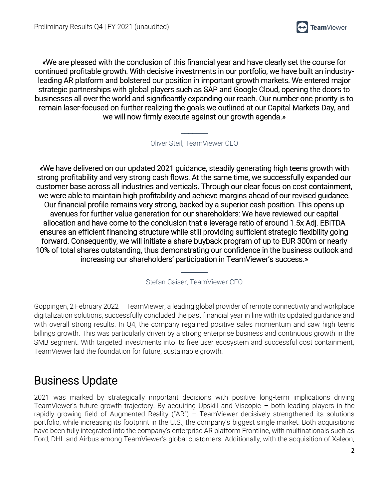

«We are pleased with the conclusion of this financial year and have clearly set the course for continued profitable growth. With decisive investments in our portfolio, we have built an industryleading AR platform and bolstered our position in important growth markets. We entered major strategic partnerships with global players such as SAP and Google Cloud, opening the doors to businesses all over the world and significantly expanding our reach. Our number one priority is to remain laser-focused on further realizing the goals we outlined at our Capital Markets Day, and we will now firmly execute against our growth agenda.»

Oliver Steil, TeamViewer CEO

 $\overline{\phantom{a}}$ 

«We have delivered on our updated 2021 guidance, steadily generating high teens growth with strong profitability and very strong cash flows. At the same time, we successfully expanded our customer base across all industries and verticals. Through our clear focus on cost containment, we were able to maintain high profitability and achieve margins ahead of our revised guidance. Our financial profile remains very strong, backed by a superior cash position. This opens up avenues for further value generation for our shareholders: We have reviewed our capital allocation and have come to the conclusion that a leverage ratio of around 1.5x Adj. EBITDA ensures an efficient financing structure while still providing sufficient strategic flexibility going forward. Consequently, we will initiate a share buyback program of up to EUR 300m or nearly 10% of total shares outstanding, thus demonstrating our confidence in the business outlook and increasing our shareholders' participation in TeamViewer's success.»

> \_\_\_\_\_\_\_ Stefan Gaiser, TeamViewer CFO

Goppingen, 2 February 2022 – TeamViewer, a leading global provider of remote connectivity and workplace digitalization solutions, successfully concluded the past financial year in line with its updated guidance and with overall strong results. In Q4, the company regained positive sales momentum and saw high teens billings growth. This was particularly driven by a strong enterprise business and continuous growth in the SMB segment. With targeted investments into its free user ecosystem and successful cost containment, TeamViewer laid the foundation for future, sustainable growth.

### Business Update

2021 was marked by strategically important decisions with positive long-term implications driving TeamViewer's future growth trajectory. By acquiring Upskill and Viscopic – both leading players in the rapidly growing field of Augmented Reality ("AR") – TeamViewer decisively strengthened its solutions portfolio, while increasing its footprint in the U.S., the company's biggest single market. Both acquisitions have been fully integrated into the company's enterprise AR platform Frontline, with multinationals such as Ford, DHL and Airbus among TeamViewer's global customers. Additionally, with the acquisition of Xaleon,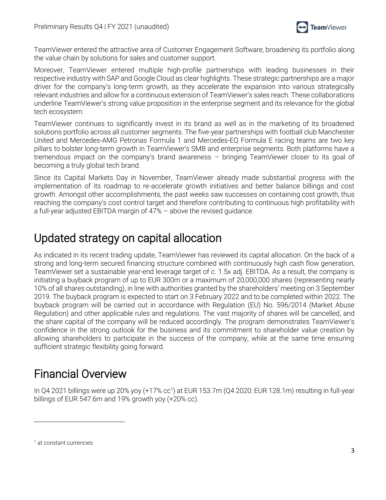

TeamViewer entered the attractive area of Customer Engagement Software, broadening its portfolio along the value chain by solutions for sales and customer support.

Moreover, TeamViewer entered multiple high-profile partnerships with leading businesses in their respective industry with SAP and Google Cloud as clear highlights. These strategic partnerships are a major driver for the company's long-term growth, as they accelerate the expansion into various strategically relevant industries and allow for a continuous extension of TeamViewer's sales reach. These collaborations underline TeamViewer's strong value proposition in the enterprise segment and its relevance for the global tech ecosystem.

TeamViewer continues to significantly invest in its brand as well as in the marketing of its broadened solutions portfolio across all customer segments. The five-year partnerships with football club Manchester United and Mercedes-AMG Petronas Formula 1 and Mercedes-EQ Formula E racing teams are two key pillars to bolster long-term growth in TeamViewer's SMB and enterprise segments. Both platforms have a tremendous impact on the company's brand awareness – bringing TeamViewer closer to its goal of becoming a truly global tech brand.

Since its Capital Markets Day in November, TeamViewer already made substantial progress with the implementation of its roadmap to re-accelerate growth initiatives and better balance billings and cost growth. Amongst other accomplishments, the past weeks saw successes on containing cost growth, thus reaching the company's cost control target and therefore contributing to continuous high profitability with a full-year adjusted EBITDA margin of 47% – above the revised guidance.

### Updated strategy on capital allocation

As indicated in its recent trading update, TeamViewer has reviewed its capital allocation. On the back of a strong and long-term secured financing structure combined with continuously high cash flow generation, TeamViewer set a sustainable year-end leverage target of c. 1.5x adj. EBITDA. As a result, the company is initiating a buyback program of up to EUR 300m or a maximum of 20,000,000 shares (representing nearly 10% of all shares outstanding), in line with authorities granted by the shareholders' meeting on 3 September 2019. The buyback program is expected to start on 3 February 2022 and to be completed within 2022. The buyback program will be carried out in accordance with Regulation (EU) No. 596/2014 (Market Abuse Regulation) and other applicable rules and regulations. The vast majority of shares will be cancelled, and the share capital of the company will be reduced accordingly. The program demonstrates TeamViewer's confidence in the strong outlook for the business and its commitment to shareholder value creation by allowing shareholders to participate in the success of the company, while at the same time ensuring sufficient strategic flexibility going forward.

### Financial Overview

In Q4 2021 billings were up 20% yoy (+17% cc<sup>1</sup>) at EUR 153.7m (Q4 2020: EUR 128.1m) resulting in full-year billings of EUR 547.6m and 19% growth yoy (+20% cc).

<sup>1</sup> at constant currencies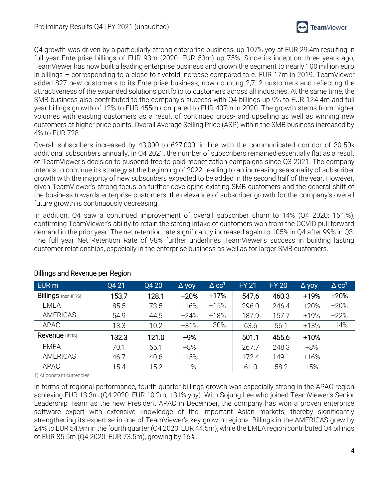

Q4 growth was driven by a particularly strong enterprise business, up 107% yoy at EUR 29.4m resulting in full year Enterprise billings of EUR 93m (2020: EUR 53m) up 75%. Since its inception three years ago, TeamViewer has now built a leading enterprise business and grown the segment to nearly 100 million euro in billings – corresponding to a close to fivefold increase compared to c. EUR 17m in 2019. TeamViewer added 827 new customers to its Enterprise business, now counting 2,712 customers and reflecting the attractiveness of the expanded solutions portfolio to customers across all industries. At the same time, the SMB business also contributed to the company's success with Q4 billings up 9% to EUR 124.4m and full year billings growth of 12% to EUR 455m compared to EUR 407m in 2020. The growth stems from higher volumes with existing customers as a result of continued cross- and upselling as well as winning new customers at higher price points. Overall Average Selling Price (ASP) within the SMB business increased by 4% to EUR 728.

Overall subscribers increased by 43,000 to 627,000, in line with the communicated corridor of 30-50k additional subscribers annually. In Q4 2021, the number of subscribers remained essentially flat as a result of TeamViewer's decision to suspend free-to-paid monetization campaigns since Q3 2021. The company intends to continue its strategy at the beginning of 2022, leading to an increasing seasonality of subscriber growth with the majority of new subscribers expected to be added in the second half of the year. However, given TeamViewer's strong focus on further developing existing SMB customers and the general shift of the business towards enterprise customers, the relevance of subscriber growth for the company's overall future growth is continuously decreasing.

In addition, Q4 saw a continued improvement of overall subscriber churn to 14% (Q4 2020: 15.1%), confirming TeamViewer's ability to retain the strong intake of customers won from the COVID pull forward demand in the prior year. The net retention rate significantly increased again to 105% in Q4 after 99% in Q3. The full year Net Retention Rate of 98% further underlines TeamViewer's success in building lasting customer relationships, especially in the enterprise business as well as for larger SMB customers.

| EUR <sub>m</sub>           | Q4 21 | Q4 20 | $\Delta$ yoy | $\Delta$ CC <sup>1</sup> | <b>FY 21</b> | <b>FY 20</b> | $\Delta$ yoy | $\triangle$ CC <sup>1</sup> |
|----------------------------|-------|-------|--------------|--------------------------|--------------|--------------|--------------|-----------------------------|
| <b>Billings (non-IFRS)</b> | 153.7 | 128.1 | $+20%$       | $+17%$                   | 547.6        | 460.3        | +19%         | $+20%$                      |
| <b>EMEA</b>                | 85.5  | 73.5  | $+16%$       | $+15%$                   | 296.0        | 246.4        | $+20%$       | $+20%$                      |
| <b>AMERICAS</b>            | 54.9  | 44.5  | $+24%$       | $+18%$                   | 187.9        | 157.7        | $+19%$       | $+22%$                      |
| APAC                       | 13.3  | 10.2  | $+31%$       | $+30%$                   | 63.6         | 56.1         | $+13%$       | $+14%$                      |
| Revenue (IFRS)             | 132.3 | 121.0 | $+9%$        |                          | 501.1        | 455.6        | $+10%$       |                             |
| <b>EMEA</b>                | 70.1  | 65.1  | $+8%$        |                          | 267.7        | 248.3        | $+8%$        |                             |
| <b>AMERICAS</b>            | 46.7  | 40.6  | $+15%$       |                          | 172.4        | 149.1        | $+16%$       |                             |
| APAC                       | 15.4  | 15.2  | $+1%$        |                          | 61.0         | 58.2         | $+5%$        |                             |

#### Billings and Revenue per Region

1) At constant currencies

In terms of regional performance, fourth quarter billings growth was especially strong in the APAC region achieving EUR 13.3m (Q4 2020: EUR 10.2m; +31% yoy). With Sojung Lee who joined TeamViewer's Senior Leadership Team as the new President APAC in December, the company has won a proven enterprise software expert with extensive knowledge of the important Asian markets, thereby significantly strengthening its expertise in one of TeamViewer's key growth regions. Billings in the AMERICAS grew by 24% to EUR 54.9m in the fourth quarter (Q4 2020: EUR 44.5m), while the EMEA region contributed Q4 billings of EUR 85.5m (Q4 2020: EUR 73.5m), growing by 16%.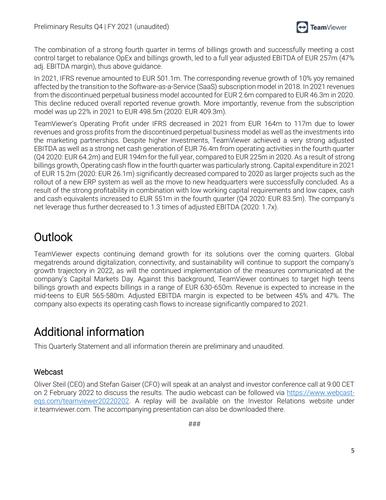

The combination of a strong fourth quarter in terms of billings growth and successfully meeting a cost control target to rebalance OpEx and billings growth, led to a full year adjusted EBITDA of EUR 257m (47% adj. EBITDA margin), thus above guidance.

In 2021, IFRS revenue amounted to EUR 501.1m. The corresponding revenue growth of 10% yoy remained affected by the transition to the Software-as-a-Service (SaaS) subscription model in 2018. In 2021 revenues from the discontinued perpetual business model accounted for EUR 2.6m compared to EUR 46.3m in 2020. This decline reduced overall reported revenue growth. More importantly, revenue from the subscription model was up 22% in 2021 to EUR 498.5m (2020: EUR 409.3m).

TeamViewer's Operating Profit under IFRS decreased in 2021 from EUR 164m to 117m due to lower revenues and gross profits from the discontinued perpetual business model as well as the investments into the marketing partnerships. Despite higher investments, TeamViewer achieved a very strong adjusted EBITDA as well as a strong net cash generation of EUR 76.4m from operating activities in the fourth quarter (Q4 2020: EUR 64.2m) and EUR 194m for the full year, compared to EUR 225m in 2020. As a result of strong billings growth, Operating cash flow in the fourth quarter was particularly strong. Capital expenditure in 2021 of EUR 15.2m (2020: EUR 26.1m) significantly decreased compared to 2020 as larger projects such as the rollout of a new ERP system as well as the move to new headquarters were successfully concluded. As a result of the strong profitability in combination with low working capital requirements and low capex, cash and cash equivalents increased to EUR 551m in the fourth quarter (Q4 2020: EUR 83.5m). The company's net leverage thus further decreased to 1.3 times of adjusted EBITDA (2020: 1.7x).

## Outlook

TeamViewer expects continuing demand growth for its solutions over the coming quarters. Global megatrends around digitalization, connectivity, and sustainability will continue to support the company's growth trajectory in 2022, as will the continued implementation of the measures communicated at the company's Capital Markets Day. Against this background, TeamViewer continues to target high teens billings growth and expects billings in a range of EUR 630-650m. Revenue is expected to increase in the mid-teens to EUR 565-580m. Adjusted EBITDA margin is expected to be between 45% and 47%. The company also expects its operating cash flows to increase significantly compared to 2021.

## Additional information

This Quarterly Statement and all information therein are preliminary and unaudited.

#### Webcast

Oliver Steil (CEO) and Stefan Gaiser (CFO) will speak at an analyst and investor conference call at 9:00 CET on 2 February 2022 to discuss the results. The audio webcast can be followed via [https://www.webcast](https://www.webcast-eqs.com/teamviewer20220202)[eqs.com/teamviewer20220202.](https://www.webcast-eqs.com/teamviewer20220202) A replay will be available on the Investor Relations website under ir.teamviewer.com. The accompanying presentation can also be downloaded there.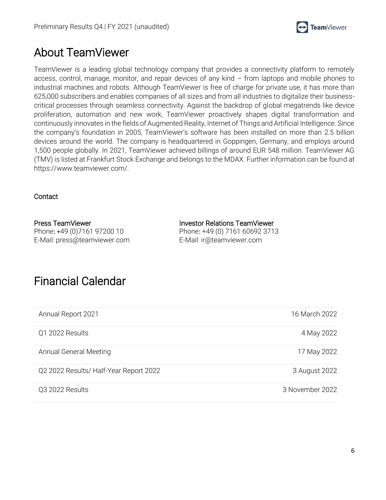

### About TeamViewer

TeamViewer is a leading global technology company that provides a connectivity platform to remotely access, control, manage, monitor, and repair devices of any kind – from laptops and mobile phones to industrial machines and robots. Although TeamViewer is free of charge for private use, it has more than 625,000 subscribers and enables companies of all sizes and from all industries to digitalize their businesscritical processes through seamless connectivity. Against the backdrop of global megatrends like device proliferation, automation and new work, TeamViewer proactively shapes digital transformation and continuously innovates in the fields of Augmented Reality, Internet of Things and Artificial Intelligence. Since the company's foundation in 2005, TeamViewer's software has been installed on more than 2.5 billion devices around the world. The company is headquartered in Goppingen, Germany, and employs around 1,500 people globally. In 2021, TeamViewer achieved billings of around EUR 548 million. TeamViewer AG (TMV) is listed at Frankfurt Stock Exchange and belongs to the MDAX. Further information can be found at https://www.teamviewer.com/.

#### **Contact**

Press TeamViewer Phone: +49 (0)7161 97200 10 E-Mail: press@teamviewer.com Investor Relations TeamViewer Phone: +49 (0) 7161 60692 3713 E-Mail: ir@teamviewer.com

### Financial Calendar

| Annual Report 2021                     | 16 March 2022   |
|----------------------------------------|-----------------|
| Q1 2022 Results                        | 4 May 2022      |
| Annual General Meeting                 | 17 May 2022     |
| Q2 2022 Results/ Half-Year Report 2022 | 3 August 2022   |
| Q3 2022 Results                        | 3 November 2022 |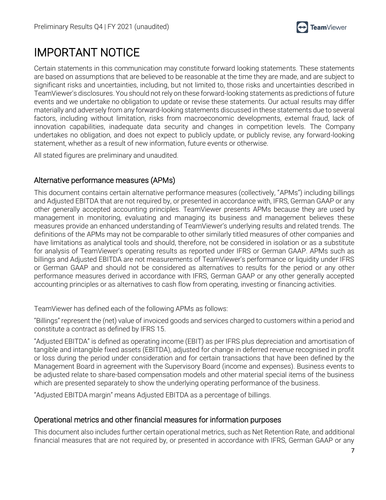

# IMPORTANT NOTICE

Certain statements in this communication may constitute forward looking statements. These statements are based on assumptions that are believed to be reasonable at the time they are made, and are subject to significant risks and uncertainties, including, but not limited to, those risks and uncertainties described in TeamViewer's disclosures. You should not rely on these forward-looking statements as predictions of future events and we undertake no obligation to update or revise these statements. Our actual results may differ materially and adversely from any forward-looking statements discussed in these statements due to several factors, including without limitation, risks from macroeconomic developments, external fraud, lack of innovation capabilities, inadequate data security and changes in competition levels. The Company undertakes no obligation, and does not expect to publicly update, or publicly revise, any forward-looking statement, whether as a result of new information, future events or otherwise.

All stated figures are preliminary and unaudited.

#### Alternative performance measures (APMs)

This document contains certain alternative performance measures (collectively, "APMs") including billings and Adjusted EBITDA that are not required by, or presented in accordance with, IFRS, German GAAP or any other generally accepted accounting principles. TeamViewer presents APMs because they are used by management in monitoring, evaluating and managing its business and management believes these measures provide an enhanced understanding of TeamViewer's underlying results and related trends. The definitions of the APMs may not be comparable to other similarly titled measures of other companies and have limitations as analytical tools and should, therefore, not be considered in isolation or as a substitute for analysis of TeamViewer's operating results as reported under IFRS or German GAAP. APMs such as billings and Adjusted EBITDA are not measurements of TeamViewer's performance or liquidity under IFRS or German GAAP and should not be considered as alternatives to results for the period or any other performance measures derived in accordance with IFRS, German GAAP or any other generally accepted accounting principles or as alternatives to cash flow from operating, investing or financing activities.

TeamViewer has defined each of the following APMs as follows:

"Billings" represent the (net) value of invoiced goods and services charged to customers within a period and constitute a contract as defined by IFRS 15.

"Adjusted EBITDA" is defined as operating income (EBIT) as per IFRS plus depreciation and amortisation of tangible and intangible fixed assets (EBITDA), adjusted for change in deferred revenue recognised in profit or loss during the period under consideration and for certain transactions that have been defined by the Management Board in agreement with the Supervisory Board (income and expenses). Business events to be adjusted relate to share-based compensation models and other material special items of the business which are presented separately to show the underlying operating performance of the business.

"Adjusted EBITDA margin" means Adjusted EBITDA as a percentage of billings.

#### Operational metrics and other financial measures for information purposes

This document also includes further certain operational metrics, such as Net Retention Rate, and additional financial measures that are not required by, or presented in accordance with IFRS, German GAAP or any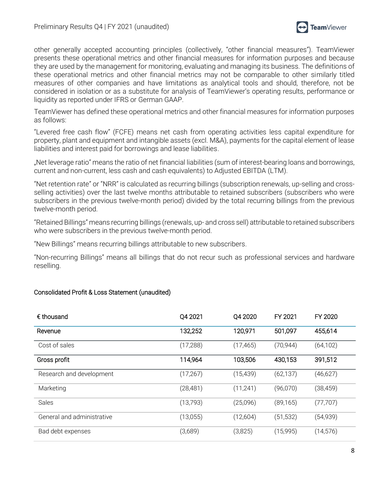

other generally accepted accounting principles (collectively, "other financial measures"). TeamViewer presents these operational metrics and other financial measures for information purposes and because they are used by the management for monitoring, evaluating and managing its business. The definitions of these operational metrics and other financial metrics may not be comparable to other similarly titled measures of other companies and have limitations as analytical tools and should, therefore, not be considered in isolation or as a substitute for analysis of TeamViewer's operating results, performance or liquidity as reported under IFRS or German GAAP.

TeamViewer has defined these operational metrics and other financial measures for information purposes as follows:

"Levered free cash flow" (FCFE) means net cash from operating activities less capital expenditure for property, plant and equipment and intangible assets (excl. M&A), payments for the capital element of lease liabilities and interest paid for borrowings and lease liabilities.

"Net leverage ratio" means the ratio of net financial liabilities (sum of interest-bearing loans and borrowings, current and non-current, less cash and cash equivalents) to Adjusted EBITDA (LTM).

"Net retention rate" or "NRR" is calculated as recurring billings (subscription renewals, up-selling and crossselling activities) over the last twelve months attributable to retained subscribers (subscribers who were subscribers in the previous twelve-month period) divided by the total recurring billings from the previous twelve-month period.

"Retained Billings" means recurring billings (renewals, up- and cross sell) attributable to retained subscribers who were subscribers in the previous twelve-month period.

"New Billings" means recurring billings attributable to new subscribers.

"Non-recurring Billings" means all billings that do not recur such as professional services and hardware reselling.

#### Consolidated Profit & Loss Statement (unaudited)

| $\epsilon$ thousand        | Q4 2021   | Q4 2020   | FY 2021   | FY 2020   |
|----------------------------|-----------|-----------|-----------|-----------|
| Revenue                    | 132,252   | 120,971   | 501,097   | 455,614   |
| Cost of sales              | (17, 288) | (17, 465) | (70, 944) | (64, 102) |
| Gross profit               | 114,964   | 103,506   | 430,153   | 391,512   |
| Research and development   | (17, 267) | (15, 439) | (62, 137) | (46, 627) |
| Marketing                  | (28, 481) | (11, 241) | (96,070)  | (38, 459) |
| <b>Sales</b>               | (13,793)  | (25,096)  | (89, 165) | (77, 707) |
| General and administrative | (13,055)  | (12,604)  | (51, 532) | (54,939)  |
| Bad debt expenses          | (3,689)   | (3,825)   | (15,995)  | (14, 576) |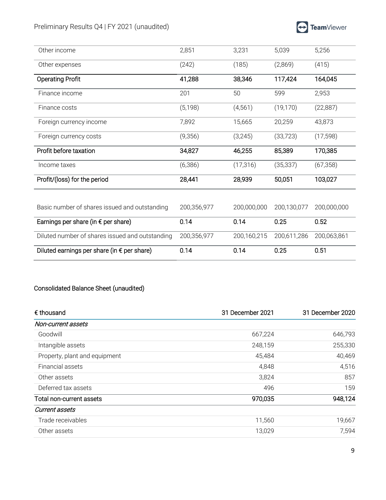| Other income                                    | 2,851       | 3,231       | 5,039       | 5,256       |
|-------------------------------------------------|-------------|-------------|-------------|-------------|
| Other expenses                                  | (242)       | (185)       | (2,869)     | (415)       |
| <b>Operating Profit</b>                         | 41,288      | 38,346      | 117,424     | 164,045     |
| Finance income                                  | 201         | 50          | 599         | 2,953       |
| Finance costs                                   | (5, 198)    | (4, 561)    | (19, 170)   | (22, 887)   |
| Foreign currency income                         | 7,892       | 15,665      | 20,259      | 43,873      |
| Foreign currency costs                          | (9,356)     | (3,245)     | (33, 723)   | (17, 598)   |
| Profit before taxation                          | 34,827      | 46,255      | 85,389      | 170,385     |
| Income taxes                                    | (6,386)     | (17, 316)   | (35, 337)   | (67, 358)   |
| Profit/(loss) for the period                    | 28,441      | 28,939      | 50,051      | 103,027     |
|                                                 |             |             |             |             |
| Basic number of shares issued and outstanding   | 200,356,977 | 200,000,000 | 200,130,077 | 200,000,000 |
| Earnings per share (in $\epsilon$ per share)    | 0.14        | 0.14        | 0.25        | 0.52        |
| Diluted number of shares issued and outstanding | 200,356,977 | 200,160,215 | 200,611,286 | 200,063,861 |
| Diluted earnings per share (in € per share)     | 0.14        | 0.14        | 0.25        | 0.51        |

#### Consolidated Balance Sheet (unaudited)

| $\epsilon$ thousand           | 31 December 2021 | 31 December 2020 |
|-------------------------------|------------------|------------------|
| Non-current assets            |                  |                  |
| Goodwill                      | 667,224          | 646,793          |
| Intangible assets             | 248,159          | 255,330          |
| Property, plant and equipment | 45,484           | 40,469           |
| Financial assets              | 4,848            | 4,516            |
| Other assets                  | 3,824            | 857              |
| Deferred tax assets           | 496              | 159              |
| Total non-current assets      | 970,035          | 948,124          |
| <b>Current assets</b>         |                  |                  |
| Trade receivables             | 11,560           | 19,667           |
| Other assets                  | 13,029           | 7,594            |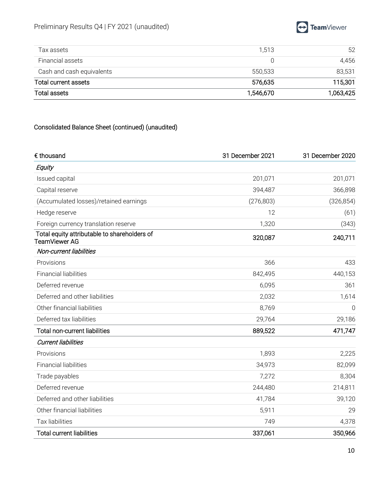

| Total assets              | 1,546,670 | 1,063,425 |
|---------------------------|-----------|-----------|
| Total current assets      | 576,635   | 115,301   |
| Cash and cash equivalents | 550.533   | 83,531    |
| Financial assets          |           | 4.456     |
| Tax assets                | 1.513     | 52        |

### Consolidated Balance Sheet (continued) (unaudited)

| € thousand                                                    | 31 December 2021 | 31 December 2020 |
|---------------------------------------------------------------|------------------|------------------|
| Equity                                                        |                  |                  |
| Issued capital                                                | 201,071          | 201,071          |
| Capital reserve                                               | 394,487          | 366,898          |
| (Accumulated losses)/retained earnings                        | (276, 803)       | (326, 854)       |
| Hedge reserve                                                 | 12               | (61)             |
| Foreign currency translation reserve                          | 1,320            | (343)            |
| Total equity attributable to shareholders of<br>TeamViewer AG | 320,087          | 240,711          |
| Non-current liabilities                                       |                  |                  |
| Provisions                                                    | 366              | 433              |
| <b>Financial liabilities</b>                                  | 842,495          | 440,153          |
| Deferred revenue                                              | 6,095            | 361              |
| Deferred and other liabilities                                | 2,032            | 1,614            |
| Other financial liabilities                                   | 8,769            | $\Omega$         |
| Deferred tax liabilities                                      | 29,764           | 29,186           |
| <b>Total non-current liabilities</b>                          | 889,522          | 471,747          |
| <b>Current liabilities</b>                                    |                  |                  |
| Provisions                                                    | 1,893            | 2,225            |
| <b>Financial liabilities</b>                                  | 34,973           | 82,099           |
| Trade payables                                                | 7,272            | 8,304            |
| Deferred revenue                                              | 244,480          | 214,811          |
| Deferred and other liabilities                                | 41,784           | 39,120           |
| Other financial liabilities                                   | 5,911            | 29               |
| Tax liabilities                                               | 749              | 4,378            |
| <b>Total current liabilities</b>                              | 337,061          | 350,966          |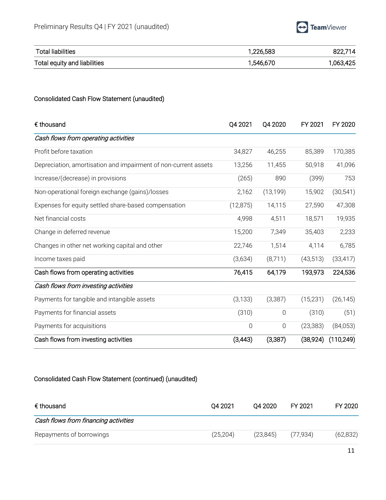

| <b>Total liabilities</b>     | 1,226,583 | 822,714   |
|------------------------------|-----------|-----------|
| Total equity and liabilities | 1,546,670 | 1,063,425 |

#### Consolidated Cash Flow Statement (unaudited)

| $\epsilon$ thousand                                             | Q4 2021     | Q4 2020     | FY 2021   | FY 2020    |
|-----------------------------------------------------------------|-------------|-------------|-----------|------------|
| Cash flows from operating activities                            |             |             |           |            |
| Profit before taxation                                          | 34,827      | 46,255      | 85,389    | 170,385    |
| Depreciation, amortisation and impairment of non-current assets | 13,256      | 11,455      | 50,918    | 41,096     |
| Increase/(decrease) in provisions                               | (265)       | 890         | (399)     | 753        |
| Non-operational foreign exchange (gains)/losses                 | 2,162       | (13, 199)   | 15,902    | (30, 541)  |
| Expenses for equity settled share-based compensation            | (12, 875)   | 14,115      | 27,590    | 47,308     |
| Net financial costs                                             | 4,998       | 4,511       | 18,571    | 19,935     |
| Change in deferred revenue                                      | 15,200      | 7,349       | 35,403    | 2,233      |
| Changes in other net working capital and other                  | 22,746      | 1,514       | 4,114     | 6,785      |
| Income taxes paid                                               | (3,634)     | (8,711)     | (43, 513) | (33, 417)  |
| Cash flows from operating activities                            | 76,415      | 64,179      | 193,973   | 224,536    |
| Cash flows from investing activities                            |             |             |           |            |
| Payments for tangible and intangible assets                     | (3, 133)    | (3,387)     | (15, 231) | (26, 145)  |
| Payments for financial assets                                   | (310)       | $\mathbf 0$ | (310)     | (51)       |
| Payments for acquisitions                                       | $\mathbf 0$ | $\mathbf 0$ | (23, 383) | (84,053)   |
| Cash flows from investing activities                            | (3, 443)    | (3,387)     | (38, 924) | (110, 249) |

#### Consolidated Cash Flow Statement (continued) (unaudited)

| € thousand                           | 04 20 21  | 04 20 20 | FY 2021  | FY 2020   |
|--------------------------------------|-----------|----------|----------|-----------|
| Cash flows from financing activities |           |          |          |           |
| Repayments of borrowings             | (25, 204) | (23.845) | (77.934) | (62, 832) |